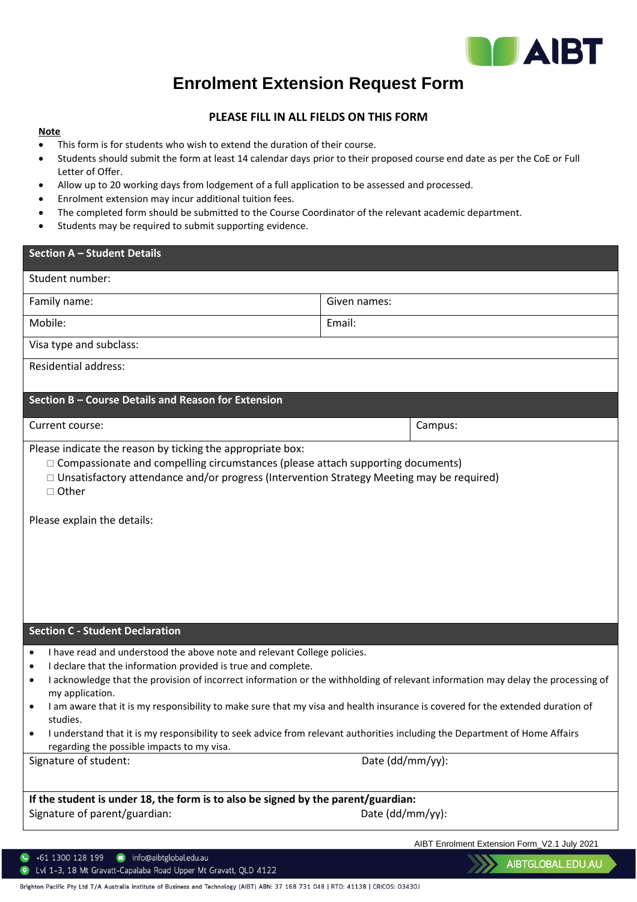

## **Enrolment Extension Request Form**

## **PLEASE FILL IN ALL FIELDS ON THIS FORM**

## **Note**

- This form is for students who wish to extend the duration of their course.
- Students should submit the form at least 14 calendar days prior to their proposed course end date as per the CoE or Full Letter of Offer.
- Allow up to 20 working days from lodgement of a full application to be assessed and processed.
- Enrolment extension may incur additional tuition fees.
- The completed form should be submitted to the Course Coordinator of the relevant academic department.
- Students may be required to submit supporting evidence.

| <b>Section A - Student Details</b>                                                                                                                                                                                                                                                                                                                                                                                                                                                                                                                      |                                                                                                                                                      |
|---------------------------------------------------------------------------------------------------------------------------------------------------------------------------------------------------------------------------------------------------------------------------------------------------------------------------------------------------------------------------------------------------------------------------------------------------------------------------------------------------------------------------------------------------------|------------------------------------------------------------------------------------------------------------------------------------------------------|
| Student number:                                                                                                                                                                                                                                                                                                                                                                                                                                                                                                                                         |                                                                                                                                                      |
| Family name:                                                                                                                                                                                                                                                                                                                                                                                                                                                                                                                                            | Given names:                                                                                                                                         |
| Mobile:                                                                                                                                                                                                                                                                                                                                                                                                                                                                                                                                                 | Email:                                                                                                                                               |
| Visa type and subclass:                                                                                                                                                                                                                                                                                                                                                                                                                                                                                                                                 |                                                                                                                                                      |
| <b>Residential address:</b>                                                                                                                                                                                                                                                                                                                                                                                                                                                                                                                             |                                                                                                                                                      |
| Section B - Course Details and Reason for Extension                                                                                                                                                                                                                                                                                                                                                                                                                                                                                                     |                                                                                                                                                      |
|                                                                                                                                                                                                                                                                                                                                                                                                                                                                                                                                                         |                                                                                                                                                      |
| Current course:                                                                                                                                                                                                                                                                                                                                                                                                                                                                                                                                         | Campus:                                                                                                                                              |
| $\Box$ Compassionate and compelling circumstances (please attach supporting documents)<br>$\Box$ Unsatisfactory attendance and/or progress (Intervention Strategy Meeting may be required)<br>$\Box$ Other<br>Please explain the details:                                                                                                                                                                                                                                                                                                               |                                                                                                                                                      |
| <b>Section C - Student Declaration</b>                                                                                                                                                                                                                                                                                                                                                                                                                                                                                                                  |                                                                                                                                                      |
| I have read and understood the above note and relevant College policies.<br>$\bullet$<br>I declare that the information provided is true and complete.<br>$\bullet$<br>$\bullet$<br>my application.<br>I am aware that it is my responsibility to make sure that my visa and health insurance is covered for the extended duration of<br>studies.<br>I understand that it is my responsibility to seek advice from relevant authorities including the Department of Home Affairs<br>regarding the possible impacts to my visa.<br>Signature of student: | I acknowledge that the provision of incorrect information or the withholding of relevant information may delay the processing of<br>Date (dd/mm/yy): |
|                                                                                                                                                                                                                                                                                                                                                                                                                                                                                                                                                         |                                                                                                                                                      |
| If the student is under 18, the form is to also be signed by the parent/guardian:<br>Signature of parent/guardian:                                                                                                                                                                                                                                                                                                                                                                                                                                      | Date (dd/mm/yy):                                                                                                                                     |
|                                                                                                                                                                                                                                                                                                                                                                                                                                                                                                                                                         | AIBT Enrolment Extension Form_V2.1 July 2021                                                                                                         |
| nfo@aibtglobal.edu.au<br>+61 1300 128 199<br>Lvl 1-3, 18 Mt Gravatt-Capalaba Road Upper Mt Gravatt, QLD 4122                                                                                                                                                                                                                                                                                                                                                                                                                                            | AIBTGLOBAL.EDU.AU                                                                                                                                    |